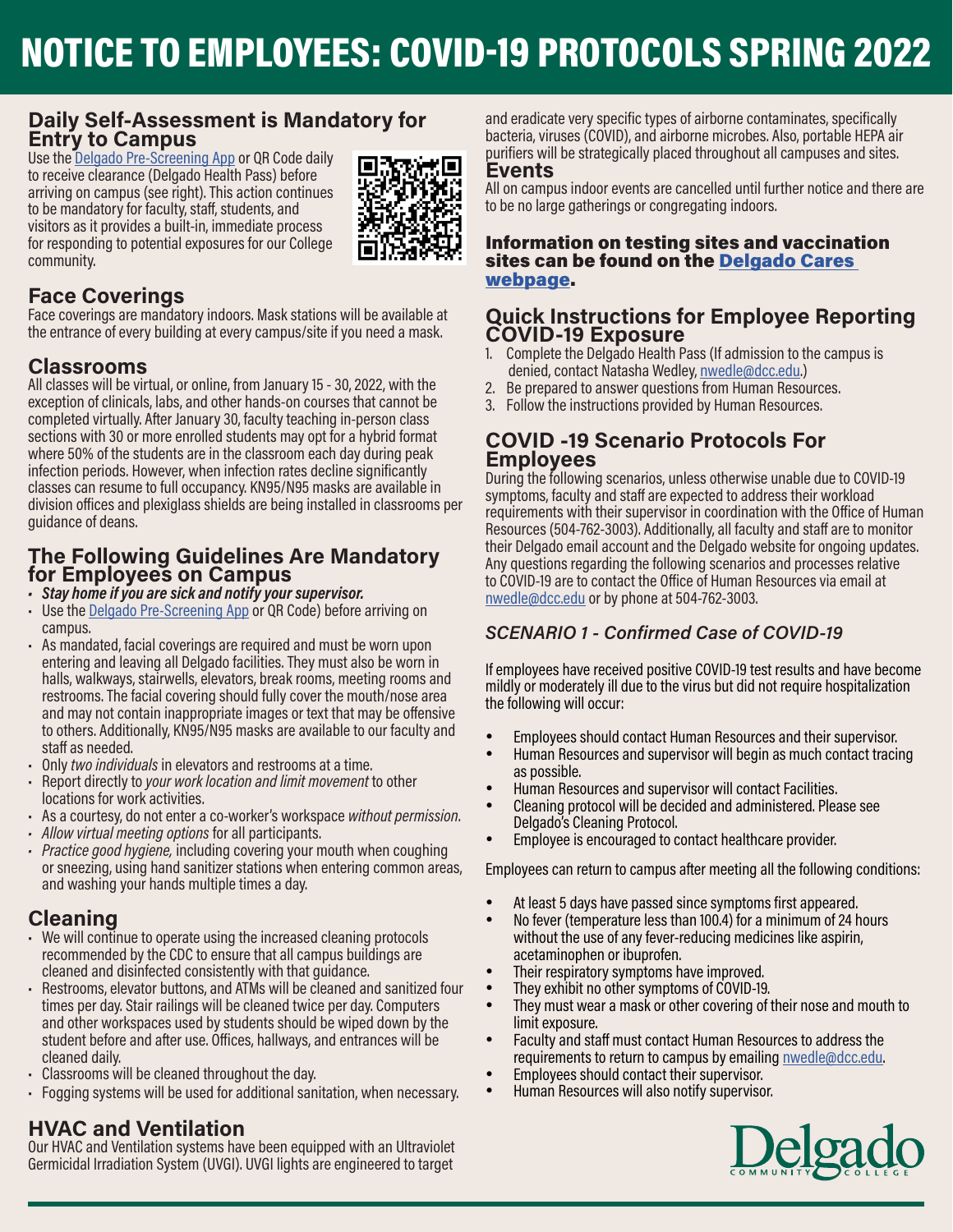### **Daily Self-Assessment is Mandatory for Entry to Campus**

Use the [Delgado Pre-Screening App](https://www.dcc.edu/we-are-ready/mobile-app.aspx) or QR Code daily to receive clearance (Delgado Health Pass) before arriving on campus (see right). This action continues to be mandatory for faculty, staff, students, and visitors as it provides a built-in, immediate process for responding to potential exposures for our College community.



# **Face Coverings**

Face coverings are mandatory indoors. Mask stations will be available at the entrance of every building at every campus/site if you need a mask.

## **Classrooms**

All classes will be virtual, or online, from January 15 - 30, 2022, with the exception of clinicals, labs, and other hands-on courses that cannot be completed virtually. After January 30, faculty teaching in-person class sections with 30 or more enrolled students may opt for a hybrid format where 50% of the students are in the classroom each day during peak infection periods. However, when infection rates decline significantly classes can resume to full occupancy. KN95/N95 masks are available in division offices and plexiglass shields are being installed in classrooms per guidance of deans.

### **The Following Guidelines Are Mandatory for Employees on Campus**

- *• Stay home if you are sick and notify your supervisor.*
- Use the [Delgado Pre-Screening App](https://www.dcc.edu/we-are-ready/mobile-app.aspx) or QR Code) before arriving on campus.
- As mandated, facial coverings are required and must be worn upon entering and leaving all Delgado facilities. They must also be worn in halls, walkways, stairwells, elevators, break rooms, meeting rooms and restrooms. The facial covering should fully cover the mouth/nose area and may not contain inappropriate images or text that may be offensive to others. Additionally, KN95/N95 masks are available to our faculty and staff as needed.
- Only *two individuals* in elevators and restrooms at a time.
- Report directly to *your work location and limit movement* to other locations for work activities.
- As a courtesy, do not enter a co-worker's workspace *without permission*.
- *• Allow virtual meeting options* for all participants.
- *• Practice good hygiene,* including covering your mouth when coughing or sneezing, using hand sanitizer stations when entering common areas, and washing your hands multiple times a day.

## **Cleaning**

- We will continue to operate using the increased cleaning protocols recommended by the CDC to ensure that all campus buildings are cleaned and disinfected consistently with that guidance.
- Restrooms, elevator buttons, and ATMs will be cleaned and sanitized four times per day. Stair railings will be cleaned twice per day. Computers and other workspaces used by students should be wiped down by the student before and after use. Offices, hallways, and entrances will be cleaned daily.
- Classrooms will be cleaned throughout the day.
- Fogging systems will be used for additional sanitation, when necessary.

## **HVAC and Ventilation**

Our HVAC and Ventilation systems have been equipped with an Ultraviolet Germicidal Irradiation System (UVGI). UVGI lights are engineered to target

and eradicate very specific types of airborne contaminates, specifically bacteria, viruses (COVID), and airborne microbes. Also, portable HEPA air purifiers will be strategically placed throughout all campuses and sites.

### **Events**

All on campus indoor events are cancelled until further notice and there are to be no large gatherings or congregating indoors.

#### Information on testing sites and vaccination sites can be found on the [Delgado Cares](https://www.dcc.edu/coronavirus/default.aspx)  [webpage.](https://www.dcc.edu/coronavirus/default.aspx)

#### **Quick Instructions for Employee Reporting COVID-19 Exposure**

- 1. Complete the Delgado Health Pass (If admission to the campus is denied, contact Natasha Wedley, [nwedle@dcc.edu](mailto:nwedle%40dcc.edu?subject=).)
- 2. Be prepared to answer questions from Human Resources.
- 3. Follow the instructions provided by Human Resources.

### **COVID -19 Scenario Protocols For Employees**

During the following scenarios, unless otherwise unable due to COVID-19 symptoms, faculty and staff are expected to address their workload requirements with their supervisor in coordination with the Office of Human Resources (504-762-3003). Additionally, all faculty and staff are to monitor their Delgado email account and the Delgado website for ongoing updates. Any questions regarding the following scenarios and processes relative to COVID-19 are to contact the Office of Human Resources via email at [nwedle@dcc.edu](mailto:nwedle%40dcc.edu?subject=) or by phone at 504-762-3003.

### *SCENARIO 1 - Confirmed Case of COVID-19*

If employees have received positive COVID-19 test results and have become mildly or moderately ill due to the virus but did not require hospitalization the following will occur:

- • Employees should contact Human Resources and their supervisor.
- Human Resources and supervisor will begin as much contact tracing as possible.
- Human Resources and supervisor will contact Facilities.
- Cleaning protocol will be decided and administered. Please see Delgado's Cleaning Protocol.
- Employee is encouraged to contact healthcare provider.

Employees can return to campus after meeting all the following conditions:

- At least 5 days have passed since symptoms first appeared.
- No fever (temperature less than 100.4) for a minimum of 24 hours without the use of any fever-reducing medicines like aspirin, acetaminophen or ibuprofen.
- Their respiratory symptoms have improved.
- They exhibit no other symptoms of COVID-19.
- They must wear a mask or other covering of their nose and mouth to limit exposure.
- Faculty and staff must contact Human Resources to address the requirements to return to campus by emailing [nwedle@dcc.edu](mailto:nwedle%40dcc.edu?subject=).
- Employees should contact their supervisor.
- • Human Resources will also notify supervisor.